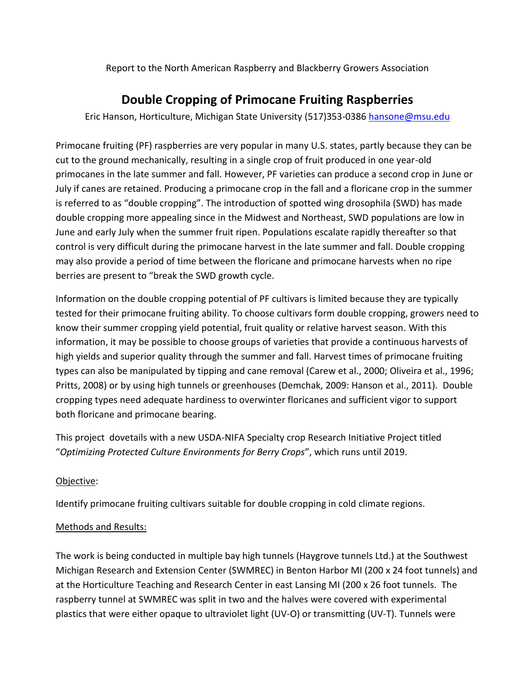Report to the North American Raspberry and Blackberry Growers Association

## **Double Cropping of Primocane Fruiting Raspberries**

Eric Hanson, Horticulture, Michigan State University (517)353-0386 [hansone@msu.edu](mailto:hansone@msu.edu)

Primocane fruiting (PF) raspberries are very popular in many U.S. states, partly because they can be cut to the ground mechanically, resulting in a single crop of fruit produced in one year-old primocanes in the late summer and fall. However, PF varieties can produce a second crop in June or July if canes are retained. Producing a primocane crop in the fall and a floricane crop in the summer is referred to as "double cropping". The introduction of spotted wing drosophila (SWD) has made double cropping more appealing since in the Midwest and Northeast, SWD populations are low in June and early July when the summer fruit ripen. Populations escalate rapidly thereafter so that control is very difficult during the primocane harvest in the late summer and fall. Double cropping may also provide a period of time between the floricane and primocane harvests when no ripe berries are present to "break the SWD growth cycle.

Information on the double cropping potential of PF cultivars is limited because they are typically tested for their primocane fruiting ability. To choose cultivars form double cropping, growers need to know their summer cropping yield potential, fruit quality or relative harvest season. With this information, it may be possible to choose groups of varieties that provide a continuous harvests of high yields and superior quality through the summer and fall. Harvest times of primocane fruiting types can also be manipulated by tipping and cane removal (Carew et al., 2000; Oliveira et al., 1996; Pritts, 2008) or by using high tunnels or greenhouses (Demchak, 2009: Hanson et al., 2011). Double cropping types need adequate hardiness to overwinter floricanes and sufficient vigor to support both floricane and primocane bearing.

This project dovetails with a new USDA-NIFA Specialty crop Research Initiative Project titled "*Optimizing Protected Culture Environments for Berry Crops*", which runs until 2019.

## Objective:

Identify primocane fruiting cultivars suitable for double cropping in cold climate regions.

## Methods and Results:

The work is being conducted in multiple bay high tunnels (Haygrove tunnels Ltd.) at the Southwest Michigan Research and Extension Center (SWMREC) in Benton Harbor MI (200 x 24 foot tunnels) and at the Horticulture Teaching and Research Center in east Lansing MI (200 x 26 foot tunnels. The raspberry tunnel at SWMREC was split in two and the halves were covered with experimental plastics that were either opaque to ultraviolet light (UV-O) or transmitting (UV-T). Tunnels were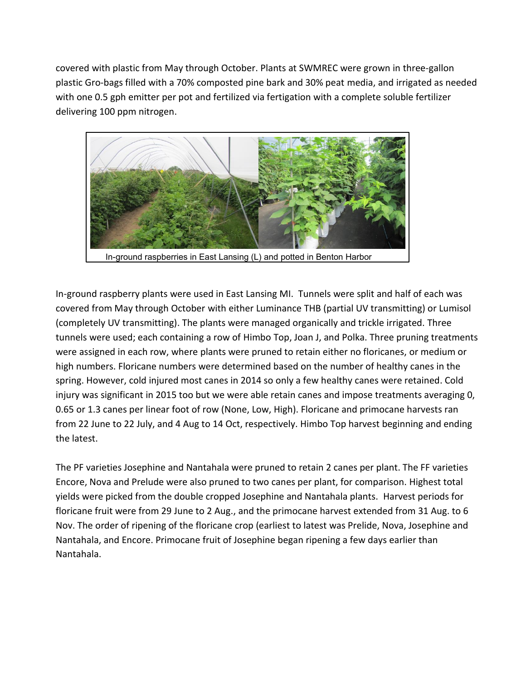covered with plastic from May through October. Plants at SWMREC were grown in three-gallon plastic Gro-bags filled with a 70% composted pine bark and 30% peat media, and irrigated as needed with one 0.5 gph emitter per pot and fertilized via fertigation with a complete soluble fertilizer delivering 100 ppm nitrogen.



In-ground raspberry plants were used in East Lansing MI. Tunnels were split and half of each was covered from May through October with either Luminance THB (partial UV transmitting) or Lumisol (completely UV transmitting). The plants were managed organically and trickle irrigated. Three tunnels were used; each containing a row of Himbo Top, Joan J, and Polka. Three pruning treatments were assigned in each row, where plants were pruned to retain either no floricanes, or medium or high numbers. Floricane numbers were determined based on the number of healthy canes in the spring. However, cold injured most canes in 2014 so only a few healthy canes were retained. Cold injury was significant in 2015 too but we were able retain canes and impose treatments averaging 0, 0.65 or 1.3 canes per linear foot of row (None, Low, High). Floricane and primocane harvests ran from 22 June to 22 July, and 4 Aug to 14 Oct, respectively. Himbo Top harvest beginning and ending the latest.

The PF varieties Josephine and Nantahala were pruned to retain 2 canes per plant. The FF varieties Encore, Nova and Prelude were also pruned to two canes per plant, for comparison. Highest total yields were picked from the double cropped Josephine and Nantahala plants. Harvest periods for floricane fruit were from 29 June to 2 Aug., and the primocane harvest extended from 31 Aug. to 6 Nov. The order of ripening of the floricane crop (earliest to latest was Prelide, Nova, Josephine and Nantahala, and Encore. Primocane fruit of Josephine began ripening a few days earlier than Nantahala.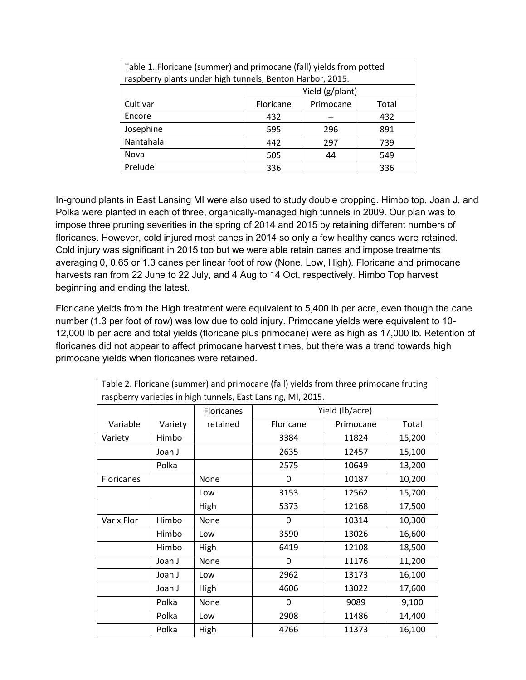| Table 1. Floricane (summer) and primocane (fall) yields from potted<br>raspberry plants under high tunnels, Benton Harbor, 2015. |                 |           |       |  |  |  |  |
|----------------------------------------------------------------------------------------------------------------------------------|-----------------|-----------|-------|--|--|--|--|
|                                                                                                                                  | Yield (g/plant) |           |       |  |  |  |  |
| Cultivar                                                                                                                         | Floricane       | Primocane | Total |  |  |  |  |
| Encore                                                                                                                           | 432             |           | 432   |  |  |  |  |
| Josephine                                                                                                                        | 595             | 296       | 891   |  |  |  |  |
| Nantahala                                                                                                                        | 442             | 297       | 739   |  |  |  |  |
| Nova                                                                                                                             | 505             | 44        | 549   |  |  |  |  |
| Prelude                                                                                                                          | 336             |           | 336   |  |  |  |  |

In-ground plants in East Lansing MI were also used to study double cropping. Himbo top, Joan J, and Polka were planted in each of three, organically-managed high tunnels in 2009. Our plan was to impose three pruning severities in the spring of 2014 and 2015 by retaining different numbers of floricanes. However, cold injured most canes in 2014 so only a few healthy canes were retained. Cold injury was significant in 2015 too but we were able retain canes and impose treatments averaging 0, 0.65 or 1.3 canes per linear foot of row (None, Low, High). Floricane and primocane harvests ran from 22 June to 22 July, and 4 Aug to 14 Oct, respectively. Himbo Top harvest beginning and ending the latest.

Floricane yields from the High treatment were equivalent to 5,400 lb per acre, even though the cane number (1.3 per foot of row) was low due to cold injury. Primocane yields were equivalent to 10- 12,000 lb per acre and total yields (floricane plus primocane) were as high as 17,000 lb. Retention of floricanes did not appear to affect primocane harvest times, but there was a trend towards high primocane yields when floricanes were retained.

| Table 2. Floricane (summer) and primocane (fall) yields from three primocane fruting |         |                   |                 |           |        |  |  |
|--------------------------------------------------------------------------------------|---------|-------------------|-----------------|-----------|--------|--|--|
| raspberry varieties in high tunnels, East Lansing, MI, 2015.                         |         |                   |                 |           |        |  |  |
|                                                                                      |         | <b>Floricanes</b> | Yield (lb/acre) |           |        |  |  |
| Variable                                                                             | Variety | retained          | Floricane       | Primocane | Total  |  |  |
| Variety                                                                              | Himbo   |                   | 3384            | 11824     | 15,200 |  |  |
|                                                                                      | Joan J  |                   | 2635            | 12457     | 15,100 |  |  |
|                                                                                      | Polka   |                   | 2575            | 10649     | 13,200 |  |  |
| Floricanes                                                                           |         | None              | 0               | 10187     | 10,200 |  |  |
|                                                                                      |         | Low               | 3153            | 12562     | 15,700 |  |  |
|                                                                                      |         | High              | 5373            | 12168     | 17,500 |  |  |
| Var x Flor                                                                           | Himbo   | None              | 0               | 10314     | 10,300 |  |  |
|                                                                                      | Himbo   | Low               | 3590            | 13026     | 16,600 |  |  |
|                                                                                      | Himbo   | High              | 6419            | 12108     | 18,500 |  |  |
|                                                                                      | Joan J  | None              | 0               | 11176     | 11,200 |  |  |
|                                                                                      | Joan J  | Low               | 2962            | 13173     | 16,100 |  |  |
|                                                                                      | Joan J  | High              | 4606            | 13022     | 17,600 |  |  |
|                                                                                      | Polka   | None              | 0               | 9089      | 9,100  |  |  |
|                                                                                      | Polka   | Low               | 2908            | 11486     | 14,400 |  |  |
|                                                                                      | Polka   | High              | 4766            | 11373     | 16,100 |  |  |